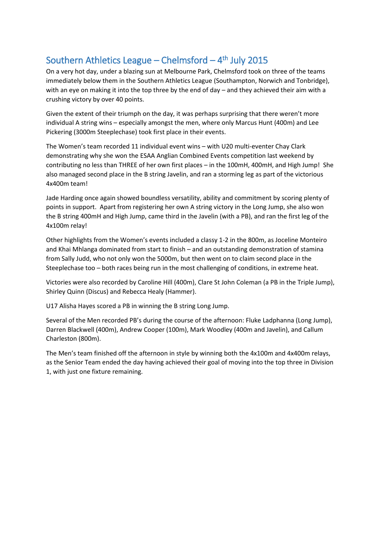## Southern Athletics League  $-$  Chelmsford  $-4$ <sup>th</sup> July 2015

On a very hot day, under a blazing sun at Melbourne Park, Chelmsford took on three of the teams immediately below them in the Southern Athletics League (Southampton, Norwich and Tonbridge), with an eye on making it into the top three by the end of day – and they achieved their aim with a crushing victory by over 40 points.

Given the extent of their triumph on the day, it was perhaps surprising that there weren't more individual A string wins – especially amongst the men, where only Marcus Hunt (400m) and Lee Pickering (3000m Steeplechase) took first place in their events.

The Women's team recorded 11 individual event wins – with U20 multi-eventer Chay Clark demonstrating why she won the ESAA Anglian Combined Events competition last weekend by contributing no less than THREE of her own first places – in the 100mH, 400mH, and High Jump! She also managed second place in the B string Javelin, and ran a storming leg as part of the victorious 4x400m team!

Jade Harding once again showed boundless versatility, ability and commitment by scoring plenty of points in support. Apart from registering her own A string victory in the Long Jump, she also won the B string 400mH and High Jump, came third in the Javelin (with a PB), and ran the first leg of the 4x100m relay!

Other highlights from the Women's events included a classy 1-2 in the 800m, as Joceline Monteiro and Khai Mhlanga dominated from start to finish – and an outstanding demonstration of stamina from Sally Judd, who not only won the 5000m, but then went on to claim second place in the Steeplechase too – both races being run in the most challenging of conditions, in extreme heat.

Victories were also recorded by Caroline Hill (400m), Clare St John Coleman (a PB in the Triple Jump), Shirley Quinn (Discus) and Rebecca Healy (Hammer).

U17 Alisha Hayes scored a PB in winning the B string Long Jump.

Several of the Men recorded PB's during the course of the afternoon: Fluke Ladphanna (Long Jump), Darren Blackwell (400m), Andrew Cooper (100m), Mark Woodley (400m and Javelin), and Callum Charleston (800m).

The Men's team finished off the afternoon in style by winning both the 4x100m and 4x400m relays, as the Senior Team ended the day having achieved their goal of moving into the top three in Division 1, with just one fixture remaining.